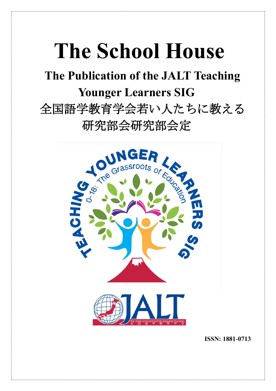# **The School House**

**The Publication of the JALT Teaching Younger Learners SIG** 全国語学教育学会若い人たちに教える 研究部会研究部会定



**ISSN: 1881-0713**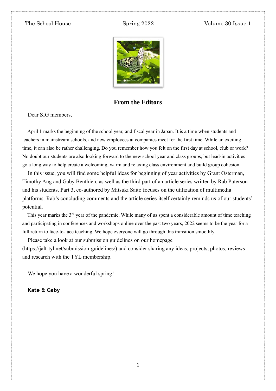

#### **From the Editors**

Dear SIG members,

April 1 marks the beginning of the school year, and fiscal year in Japan. It is a time when students and teachers in mainstream schools, and new employees at companies meet for the first time. While an exciting time, it can also be rather challenging. Do you remember how you felt on the first day at school, club or work? No doubt our students are also looking forward to the new school year and class groups, but lead-in activities go a long way to help create a welcoming, warm and relaxing class environment and build group cohesion.

In this issue, you will find some helpful ideas for beginning of year activities by Grant Osterman, Timothy Ang and Gaby Benthien, as well as the third part of an article series written by Rab Paterson and his students. Part 3, co-authored by Mitsuki Saito focuses on the utilization of multimedia platforms. Rab's concluding comments and the article series itself certainly reminds us of our students' potential.

This year marks the  $3<sup>rd</sup>$  year of the pandemic. While many of us spent a considerable amount of time teaching and participating in conferences and workshops online over the past two years, 2022 seems to be the year for a full return to face-to-face teaching. We hope everyone will go through this transition smoothly.

Please take a look at our submission guidelines on our homepage (https://jalt-tyl.net/submission-guidelines/) and consider sharing any ideas, projects, photos, reviews and research with the TYL membership.

We hope you have a wonderful spring!

**Kate & Gaby**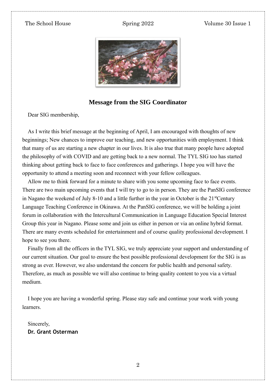

#### **Message from the SIG Coordinator**

Dear SIG membership,

As I write this brief message at the beginning of April, I am encouraged with thoughts of new beginnings; New chances to improve our teaching, and new opportunities with employment. I think that many of us are starting a new chapter in our lives. It is also true that many people have adopted the philosophy of with COVID and are getting back to a new normal. The TYL SIG too has started thinking about getting back to face to face conferences and gatherings. I hope you will have the opportunity to attend a meeting soon and reconnect with your fellow colleagues.

Allow me to think forward for a minute to share with you some upcoming face to face events. There are two main upcoming events that I will try to go to in person. They are the PanSIG conference in Nagano the weekend of July 8-10 and a little further in the year in October is the 21<sup>st</sup>Century Language Teaching Conference in Okinawa. At the PanSIG conference, we will be holding a joint forum in collaboration with the Intercultural Communication in Language Education Special Interest Group this year in Nagano. Please some and join us either in person or via an online hybrid format. There are many events scheduled for entertainment and of course quality professional development. I hope to see you there.

Finally from all the officers in the TYL SIG, we truly appreciate your support and understanding of our current situation. Our goal to ensure the best possible professional development for the SIG is as strong as ever. However, we also understand the concern for public health and personal safety. Therefore, as much as possible we will also continue to bring quality content to you via a virtual medium.

I hope you are having a wonderful spring. Please stay safe and continue your work with young learners.

Sincerely, **Dr. Grant Osterman**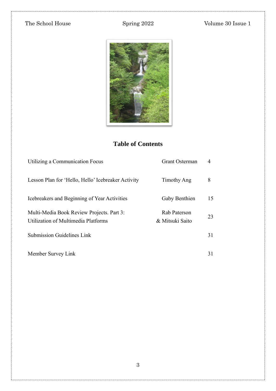

# **Table of Contents**

| Utilizing a Communication Focus                                                  | <b>Grant Osterman</b>           | 4  |
|----------------------------------------------------------------------------------|---------------------------------|----|
| Lesson Plan for 'Hello, Hello' Icebreaker Activity                               | Timothy Ang                     | 8  |
| Icebreakers and Beginning of Year Activities                                     | Gaby Benthien                   | 15 |
| Multi-Media Book Review Projects. Part 3:<br>Utilization of Multimedia Platforms | Rab Paterson<br>& Mitsuki Saito | 23 |
| <b>Submission Guidelines Link</b>                                                |                                 | 31 |
| Member Survey Link                                                               |                                 | 31 |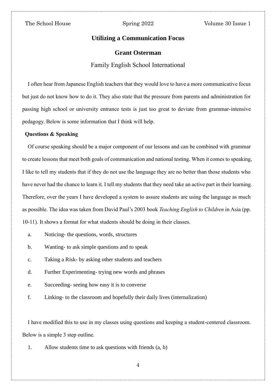#### **Utilizing a Communication Focus**

#### **Grant Osterman**

#### Family English School International

I often hear from Japanese English teachers that they would love to have a more communicative focus but just do not know how to do it. They also state that the pressure from parents and administration for passing high school or university entrance tests is just too great to deviate from grammar-intensive pedagogy. Below is some information that I think will help.

#### **Questions & Speaking**

Of course speaking should be a major component of our lessons and can be combined with grammar to create lessons that meet both goals of communication and national testing. When it comes to speaking, I like to tell my students that if they do not use the language they are no better than those students who have never had the chance to learn it. I tell my students that they need take an active part in their learning. Therefore, over the years I have developed a system to assure students are using the language as much as possible. The idea was taken from David Paul's 2003 book *Teaching English to Children* in Asia (pp. 10-11). It shows a format for what students should be doing in their classes.

- a. Noticing- the questions, words, structures
- b. Wanting- to ask simple questions and to speak
- c. Taking a Risk- by asking other students and teachers
- d. Further Experimenting- trying new words and phrases
- e. Succeeding- seeing how easy it is to converse
- f. Linking- to the classroom and hopefully their daily lives (internalization)

I have modified this to use in my classes using questions and keeping a student-centered classroom. Below is a simple 3 step outline.

1. Allow students time to ask questions with friends (a, b)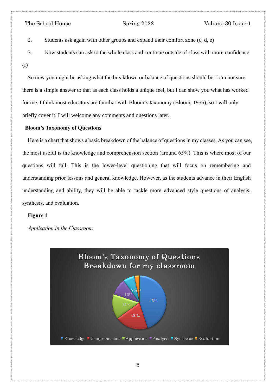2. Students ask again with other groups and expand their comfort zone (c, d, e)

3. Now students can ask to the whole class and continue outside of class with more confidence (f)

So now you might be asking what the breakdown or balance of questions should be. I am not sure there is a simple answer to that as each class holds a unique feel, but I can show you what has worked for me. I think most educators are familiar with Bloom's taxonomy (Bloom, 1956), so I will only briefly cover it. I will welcome any comments and questions later.

#### **Bloom's Taxonomy of Questions**

Here is a chart that shows a basic breakdown of the balance of questions in my classes. As you can see, the most useful is the knowledge and comprehension section (around 65%). This is where most of our questions will fall. This is the lower-level questioning that will focus on remembering and understanding prior lessons and general knowledge. However, as the students advance in their English understanding and ability, they will be able to tackle more advanced style questions of analysis, synthesis, and evaluation.

#### **Figure 1**

*Application in the Classroom*

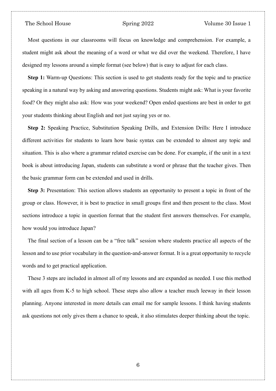Most questions in our classrooms will focus on knowledge and comprehension. For example, a student might ask about the meaning of a word or what we did over the weekend. Therefore, I have designed my lessons around a simple format (see below) that is easy to adjust for each class.

**Step 1:** Warm-up Questions: This section is used to get students ready for the topic and to practice speaking in a natural way by asking and answering questions. Students might ask: What is your favorite food? Or they might also ask: How was your weekend? Open ended questions are best in order to get your students thinking about English and not just saying yes or no.

**Step 2:** Speaking Practice, Substitution Speaking Drills, and Extension Drills: Here I introduce different activities for students to learn how basic syntax can be extended to almost any topic and situation. This is also where a grammar related exercise can be done. For example, if the unit in a text book is about introducing Japan, students can substitute a word or phrase that the teacher gives. Then the basic grammar form can be extended and used in drills.

**Step 3:** Presentation: This section allows students an opportunity to present a topic in front of the group or class. However, it is best to practice in small groups first and then present to the class. Most sections introduce a topic in question format that the student first answers themselves. For example, how would you introduce Japan?

The final section of a lesson can be a "free talk" session where students practice all aspects of the lesson and to use prior vocabulary in the question-and-answer format. It is a great opportunity to recycle words and to get practical application.

These 3 steps are included in almost all of my lessons and are expanded as needed. I use this method with all ages from K-5 to high school. These steps also allow a teacher much leeway in their lesson planning. Anyone interested in more details can email me for sample lessons. I think having students ask questions not only gives them a chance to speak, it also stimulates deeper thinking about the topic.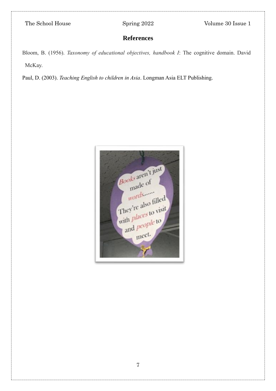# **References**

Bloom, B. (1956). *Taxonomy of educational objectives, handbook I*: The cognitive domain. David McKay.

Paul, D. (2003). *Teaching English to children in Asia*. Longman Asia ELT Publishing.

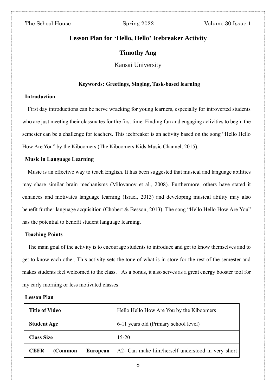### **Lesson Plan for 'Hello, Hello' Icebreaker Activity**

#### **Timothy Ang**

Kansai University

#### **Keywords: Greetings, Singing, Task-based learning**

#### **Introduction**

First day introductions can be nerve wracking for young learners, especially for introverted students who are just meeting their classmates for the first time. Finding fun and engaging activities to begin the semester can be a challenge for teachers. This icebreaker is an activity based on the song "Hello Hello How Are You" by the Kiboomers (The Kiboomers Kids Music Channel, 2015).

#### **Music in Language Learning**

Music is an effective way to teach English. It has been suggested that musical and language abilities may share similar brain mechanisms [\(Milovanov et al., 2008\).](about:blank) Furthermore, others have stated it enhances and motivates language learning [\(Israel, 2013\)](about:blank) and developing musical ability may also benefit further language acquisition [\(Chobert & Besson, 2013\).](about:blank) The song "Hello Hello How Are You" has the potential to benefit student language learning.

#### **Teaching Points**

The main goal of the activity is to encourage students to introduce and get to know themselves and to get to know each other. This activity sets the tone of what is in store for the rest of the semester and makes students feel welcomed to the class. As a bonus, it also serves as a great energy booster tool for my early morning or less motivated classes.

#### **Lesson Plan**

| <b>Title of Video</b>              | Hello Hello How Are You by the Kiboomers          |
|------------------------------------|---------------------------------------------------|
| <b>Student Age</b>                 | 6-11 years old (Primary school level)             |
| <b>Class Size</b>                  | $15 - 20$                                         |
| <b>CEFR</b><br>(Common<br>European | A2- Can make him/herself understood in very short |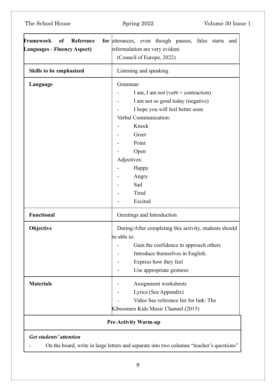| Spring 2022<br>Volume 30 Issue 1                                                                                                                                                                                                                   |  |  |
|----------------------------------------------------------------------------------------------------------------------------------------------------------------------------------------------------------------------------------------------------|--|--|
| for utterances, even though pauses, false starts<br>and<br>reformulation are very evident.<br>(Council of Europe, 2022)                                                                                                                            |  |  |
| Listening and speaking                                                                                                                                                                                                                             |  |  |
| Grammar:<br>I am, I am not (verb $+$ contraction)<br>I am not so good today (negative)<br>I hope you will feel better soon<br>Verbal Communication:<br>Knock<br>Greet<br>Point<br>Open<br>Adjectives:<br>Happy<br>Angry<br>Sad<br>Tired<br>Excited |  |  |
| Greetings and Introduction                                                                                                                                                                                                                         |  |  |
| During/After completing this activity, students should<br>be able to:<br>Gain the confidence to approach others<br>Introduce themselves in English.<br>Express how they feel<br>Use appropriate gestures                                           |  |  |
| Assignment worksheets<br>Lyrics (See Appendix)<br>Video See reference list for link: The                                                                                                                                                           |  |  |
|                                                                                                                                                                                                                                                    |  |  |

- On the board, write in large letters and separate into two columns "teacher's questions"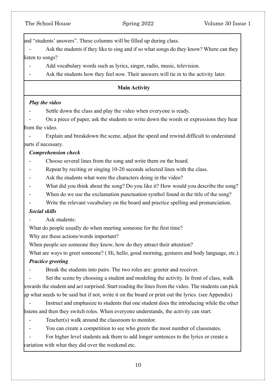and "students' answers". These columns will be filled up during class.

Ask the students if they like to sing and if so what songs do they know? Where can they listen to songs?

Add vocabulary words such as lyrics, singer, radio, music, television.

Ask the students how they feel now. Their answers will tie in to the activity later.

### **Main Activity**

### *Play the video*

- Settle down the class and play the video when everyone is ready.
- On a piece of paper, ask the students to write down the words or expressions they hear from the video.

Explain and breakdown the scene, adjust the speed and rewind difficult to understand parts if necessary.

### *Comprehension check*

- Choose several lines from the song and write them on the board.
- Repeat by reciting or singing 10-20 seconds selected lines with the class.
- Ask the students what were the characters doing in the video?
- What did you think about the song? Do you like it? How would you describe the song?
- When do we use the exclamation punctuation symbol found in the title of the song?
- Write the relevant vocabulary on the board and practice spelling and pronunciation.

### *Social skills*

Ask students:

What do people usually do when meeting someone for the first time?

Why are these actions/words important?

When people see someone they know, how do they attract their attention?

What are ways to greet someone? ( Hi, hello, good morning, gestures and body language, etc.)

### *Practice greeting*

Break the students into pairs. The two roles are: greeter and receiver.

Set the scene by choosing a student and modeling the activity. In front of class, walk towards the student and act surprised. Start reading the lines from the video. The students can pick up what needs to be said but if not, write it on the board or print out the lyrics. (see Appendix)

Instruct and emphasize to students that one student does the introducing while the other listens and then they switch roles. When everyone understands, the activity can start.

- Teacher(s) walk around the classroom to monitor.
- You can create a competition to see who greets the most number of classmates.

For higher level students ask them to add longer sentences to the lyrics or create a variation with what they did over the weekend etc.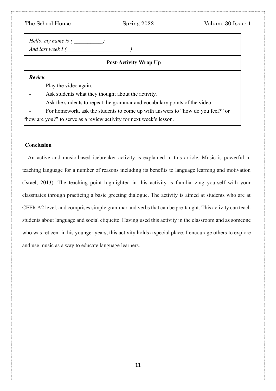| The School House                                                                | Spring 2022                                                          | Volume 30 Issue 1 |  |  |
|---------------------------------------------------------------------------------|----------------------------------------------------------------------|-------------------|--|--|
| <i>Hello, my name is ()</i><br>And last week $I$ (                              |                                                                      |                   |  |  |
| <b>Post-Activity Wrap Up</b>                                                    |                                                                      |                   |  |  |
| <b>Review</b>                                                                   |                                                                      |                   |  |  |
| Play the video again.                                                           |                                                                      |                   |  |  |
|                                                                                 | Ask students what they thought about the activity.                   |                   |  |  |
| Ask the students to repeat the grammar and vocabulary points of the video.      |                                                                      |                   |  |  |
| For homework, ask the students to come up with answers to "how do you feel?" or |                                                                      |                   |  |  |
|                                                                                 | "how are you?" to serve as a review activity for next week's lesson. |                   |  |  |

#### **Conclusion**

An active and music-based icebreaker activity is explained in this article. Music is powerful in teaching language for a number of reasons including its benefits to language learning and motivation [\(Israel, 2013\)](about:blank). The teaching point highlighted in this activity is familiarizing yourself with your classmates through practicing a basic greeting dialogue. The activity is aimed at students who are at CEFR A2 level, and comprises simple grammar and verbs that can be pre-taught. This activity can teach students about language and social etiquette. Having used this activity in the classroom and as someone who was reticent in his younger years, this activity holds a special place. I encourage others to explore and use music as a way to educate language learners.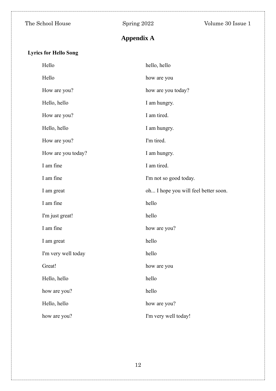# **Appendix A**

# **Lyrics for Hello Song**

| Hello               | hello, hello                         |
|---------------------|--------------------------------------|
| Hello               | how are you                          |
| How are you?        | how are you today?                   |
| Hello, hello        | I am hungry.                         |
| How are you?        | I am tired.                          |
| Hello, hello        | I am hungry.                         |
| How are you?        | I'm tired.                           |
| How are you today?  | I am hungry.                         |
| I am fine           | I am tired.                          |
| I am fine           | I'm not so good today.               |
| I am great          | oh I hope you will feel better soon. |
| I am fine           | hello                                |
| I'm just great!     | hello                                |
| I am fine           | how are you?                         |
| I am great          | hello                                |
| I'm very well today | hello                                |
| Great!              | how are you                          |
| Hello, hello        | hello                                |
| how are you?        | hello                                |
| Hello, hello        | how are you?                         |
| how are you?        | I'm very well today!                 |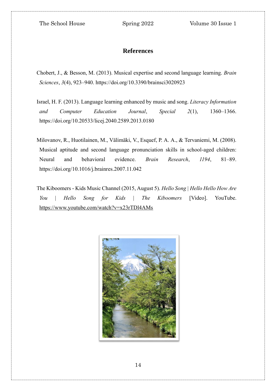### **References**

- [Chobert, J., & Besson, M. \(2013\). Musical expertise and second language learning.](about:blank) *[Brain](about:blank)  [Sciences](about:blank)*[,](about:blank) *[3](about:blank)*[\(4\), 923–940. https://doi.org/10.3390/brainsci3020923](about:blank)
- [Israel, H. F. \(2013\). Language learning enhanced by music and](about:blank) [song.](about:blank) *[Literacy Information](about:blank)  [and Computer Education Journal](about:blank)*[,](about:blank) *[Special 2](about:blank)*[\(1\), 1360–1366.](about:blank)  [https://doi.org/10.20533/licej.2040.2589.2013.0180](about:blank)
- [Milovanov, R., Huotilainen, M., Välimäki, V., Esquef, P. A. A., & Tervaniemi, M. \(2008\).](about:blank)  [Musical aptitude and second language pronunciation skills in school-aged children:](about:blank)  [Neural and behavioral evidence.](about:blank) *[Brain Research](about:blank)*[,](about:blank) *[1194](about:blank)*[, 81–89.](about:blank)  [https://doi.org/10.1016/j.brainres.2007.11.042](about:blank)
- The Kiboomers Kids Music Channel (2015, August 5). *[Hello Song | Hello Hello How Are](about:blank)  [You | Hello Song for Kids | The Kiboomers](about:blank)* [\[Video\]. YouTube.](about:blank)  [https://www.youtube.com/watch?v=x23rTDl4AMs](about:blank)

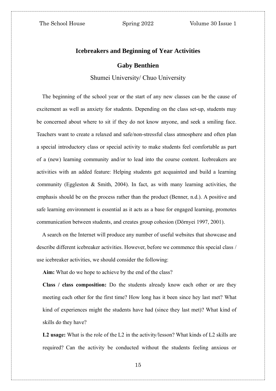#### **Icebreakers and Beginning of Year Activities**

#### **Gaby Benthien**

#### Shumei University/ Chuo University

The beginning of the school year or the start of any new classes can be the cause of excitement as well as anxiety for students. Depending on the class set-up, students may be concerned about where to sit if they do not know anyone, and seek a smiling face. Teachers want to create a relaxed and safe/non-stressful class atmosphere and often plan a special introductory class or special activity to make students feel comfortable as part of a (new) learning community and/or to lead into the course content. Icebreakers are activities with an added feature: Helping students get acquainted and build a learning community (Eggleston & Smith, 2004). In fact, as with many learning activities, the emphasis should be on the process rather than the product (Benner, n.d.). A positive and safe learning environment is essential as it acts as a base for engaged learning, promotes communication between students, and creates group cohesion (Dörnyei 1997, 2001).

A search on the Internet will produce any number of useful websites that showcase and describe different icebreaker activities. However, before we commence this special class / use icebreaker activities, we should consider the following:

**Aim:** What do we hope to achieve by the end of the class?

**Class / class composition:** Do the students already know each other or are they meeting each other for the first time? How long has it been since hey last met? What kind of experiences might the students have had (since they last met)? What kind of skills do they have?

**L2 usage:** What is the role of the L2 in the activity/lesson? What kinds of L2 skills are required? Can the activity be conducted without the students feeling anxious or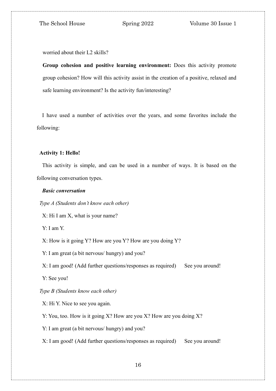worried about their L2 skills?

**Group cohesion and positive learning environment:** Does this activity promote group cohesion? How will this activity assist in the creation of a positive, relaxed and safe learning environment? Is the activity fun/interesting?

I have used a number of activities over the years, and some favorites include the following:

#### **Activity 1: Hello!**

This activity is simple, and can be used in a number of ways. It is based on the following conversation types.

#### *Basic conversation*

*Type A (Students don't know each other)*

X: Hi I am X, what is your name?

Y: I am Y.

X: How is it going Y? How are you Y? How are you doing Y?

Y: I am great (a bit nervous/ hungry) and you?

X: I am good! (Add further questions/responses as required) See you around!

Y: See you!

#### *Type B (Students know each other)*

X: Hi Y. Nice to see you again.

Y: You, too. How is it going X? How are you X? How are you doing X?

Y: I am great (a bit nervous/ hungry) and you?

X: I am good! (Add further questions/responses as required) See you around!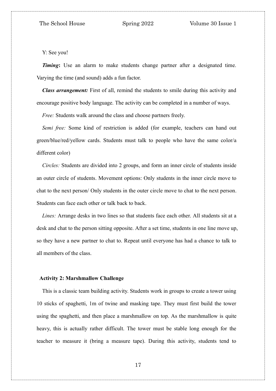Y: See you!

*Timing*: Use an alarm to make students change partner after a designated time. Varying the time (and sound) adds a fun factor.

*Class arrangement:* First of all, remind the students to smile during this activity and encourage positive body language. The activity can be completed in a number of ways.

*Free:* Students walk around the class and choose partners freely.

*Semi free:* Some kind of restriction is added (for example, teachers can hand out green/blue/red/yellow cards. Students must talk to people who have the same color/a different color)

*Circles:* Students are divided into 2 groups, and form an inner circle of students inside an outer circle of students. Movement options: Only students in the inner circle move to chat to the next person/ Only students in the outer circle move to chat to the next person. Students can face each other or talk back to back.

*Lines:* Arrange desks in two lines so that students face each other. All students sit at a desk and chat to the person sitting opposite. After a set time, students in one line move up, so they have a new partner to chat to. Repeat until everyone has had a chance to talk to all members of the class.

#### **Activity 2: Marshmallow Challenge**

This is a classic team building activity. Students work in groups to create a tower using 10 sticks of spaghetti, 1m of twine and masking tape. They must first build the tower using the spaghetti, and then place a marshmallow on top. As the marshmallow is quite heavy, this is actually rather difficult. The tower must be stable long enough for the teacher to measure it (bring a measure tape). During this activity, students tend to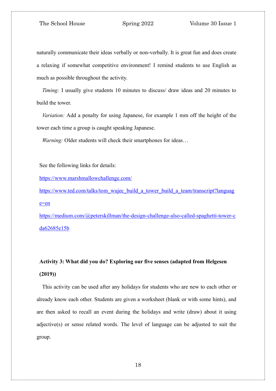naturally communicate their ideas verbally or non-verbally. It is great fun and does create a relaxing if somewhat competitive environment! I remind students to use English as much as possible throughout the activity.

*Timing:* I usually give students 10 minutes to discuss/ draw ideas and 20 minutes to build the tower.

*Variation:* Add a penalty for using Japanese, for example 1 mm off the height of the tower each time a group is caught speaking Japanese.

*Warning:* Older students will check their smartphones for ideas...

See the following links for details:

<https://www.marshmallowchallenge.com/>

[https://www.ted.com/talks/tom\\_wujec\\_build\\_a\\_tower\\_build\\_a\\_team/transcript?languag](https://www.ted.com/talks/tom_wujec_build_a_tower_build_a_team/transcript?language=en) [e=en](https://www.ted.com/talks/tom_wujec_build_a_tower_build_a_team/transcript?language=en)

[https://medium.com/@peterskillman/the-design-challenge-also-called-spaghetti-tower-c](https://medium.com/@peterskillman/the-design-challenge-also-called-spaghetti-tower-cda62685e15b) [da62685e15b](https://medium.com/@peterskillman/the-design-challenge-also-called-spaghetti-tower-cda62685e15b)

# **Activity 3: What did you do? Exploring our five senses (adapted from Helgesen (2019))**

This activity can be used after any holidays for students who are new to each other or already know each other. Students are given a worksheet (blank or with some hints), and are then asked to recall an event during the holidays and write (draw) about it using adjective(s) or sense related words. The level of language can be adjusted to suit the group.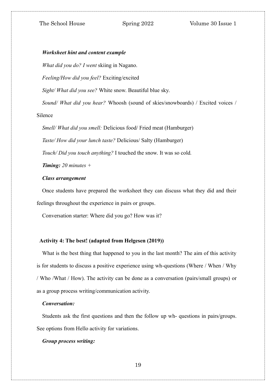#### *Worksheet hint and content example*

*What did you do? I went* skiing in Nagano.

*Feeling/How did you feel?* Exciting/excited

*Sight/ What did you see?* White snow. Beautiful blue sky.

*Sound/ What did you hear?* Whoosh (sound of skies/snowboards) / Excited voices /

Silence

*Smell/ What did you smell:* Delicious food/ Fried meat (Hamburger) *Taste/ How did your lunch taste?* Delicious/ Salty (Hamburger) *Touch/ Did you touch anything?* I touched the snow. It was so cold*.*

*Timing: 20 minutes +*

#### *Class arrangement*

Once students have prepared the worksheet they can discuss what they did and their feelings throughout the experience in pairs or groups.

Conversation starter: Where did you go? How was it?

#### **Activity 4: The best! (adapted from Helgesen (2019))**

What is the best thing that happened to you in the last month? The aim of this activity is for students to discuss a positive experience using wh-questions (Where / When / Why / Who /What / How). The activity can be done as a conversation (pairs/small groups) or as a group process writing/communication activity.

#### *Conversation:*

Students ask the first questions and then the follow up wh- questions in pairs/groups. See options from Hello activity for variations.

#### *Group process writing:*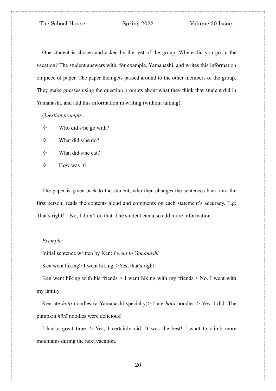One student is chosen and asked by the rest of the group: Where did you go in the vacation? The student answers with, for example, Yamanashi, and writes this information on piece of paper. The paper then gets passed around to the other members of the group. They make guesses using the question prompts about what they think that student did in Yamanashi, and add this information in writing (without talking).

*Question prompts:*

- $\diamond$  Who did s/he go with?
- $\diamond$  What did s/he do?
- $\diamond$  What did s/he eat?
- $\diamond$  How was it?

The paper is given back to the student, who then changes the sentences back into the first person, reads the contents aloud and comments on each statement's accuracy. E.g. That's right! No, I didn't do that. The student can also add more information.

#### *Example:*

Initial sentence written by Ken: *I went to Yamanashi* 

Ken went hiking> I went hiking. >Yes, that's right!

Ken went hiking with his friends  $> I$  went hiking with my friends. $>$  No. I went with my family.

Ken ate *hōtō* noodles (a Yamanashi specialty)> I ate *hōtō* noodles > Yes, I did. The pumpkin *hōtō* noodles were delicious!

I had a great time. > Yes, I certainly did. It was the best! I want to climb more mountains during the next vacation.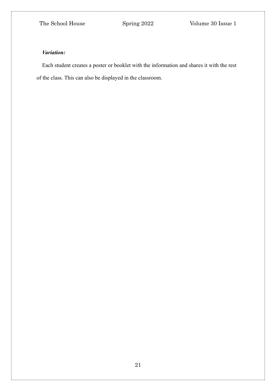### *Variation:*

Each student creates a poster or booklet with the information and shares it with the rest of the class. This can also be displayed in the classroom.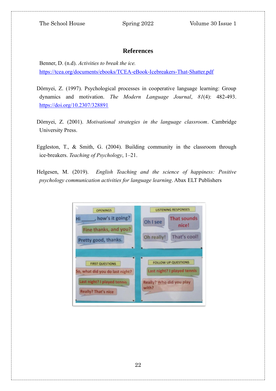### **References**

Benner, D. (n.d). *Activities to break the ice.* <https://tcea.org/documents/ebooks/TCEA-eBook-Icebreakers-That-Shatter.pdf>

- Dörnyei, Z. (1997). Psychological processes in cooperative language learning: Group dynamics and motivation. *The Modern Language Journal*, *81*(4): 482-493. <https://doi.org/10.2307/328891>
- Dörnyei, Z. (2001). *Motivational strategies in the language classroom*. Cambridge University Press.
- Eggleston, T., & Smith, G. (2004). Building community in the classroom through ice-breakers. *Teaching of Psychology*, 1–21.
- Helgesen, M. (2019). *English Teaching and the science of happiness: Positive psychology communication activities for language learning*. Abax ELT Publishers

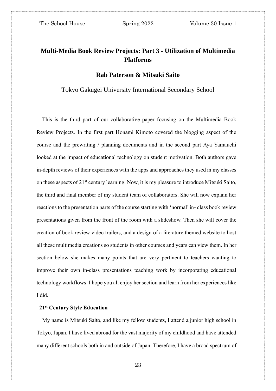# **Multi-Media Book Review Projects: Part 3 - Utilization of Multimedia Platforms**

#### **Rab Paterson & Mitsuki Saito**

Tokyo Gakugei University International Secondary School

This is the third part of our collaborative paper focusing on the Multimedia Book Review Projects. In the first part Honami Kimoto covered the blogging aspect of the course and the prewriting / planning documents and in the second part Aya Yamauchi looked at the impact of educational technology on student motivation. Both authors gave in-depth reviews of their experiences with the apps and approaches they used in my classes on these aspects of 21<sup>st</sup> century learning. Now, it is my pleasure to introduce Mitsuki Saito, the third and final member of my student team of collaborators. She will now explain her reactions to the presentation parts of the course starting with 'normal' in- class book review presentations given from the front of the room with a slideshow. Then she will cover the creation of book review video trailers, and a design of a literature themed website to host all these multimedia creations so students in other courses and years can view them. In her section below she makes many points that are very pertinent to teachers wanting to improve their own in-class presentations teaching work by incorporating educational technology workflows. I hope you all enjoy her section and learn from her experiences like I did.

#### **21st Century Style Education**

My name is Mitsuki Saito, and like my fellow students, I attend a junior high school in Tokyo, Japan. I have lived abroad for the vast majority of my childhood and have attended many different schools both in and outside of Japan. Therefore, I have a broad spectrum of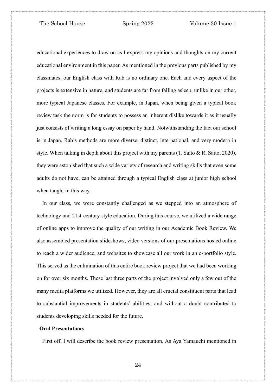educational experiences to draw on as I express my opinions and thoughts on my current educational environment in this paper. As mentioned in the previous parts published by my classmates, our English class with Rab is no ordinary one. Each and every aspect of the projects is extensive in nature, and students are far from falling asleep, unlike in our other, more typical Japanese classes. For example, in Japan, when being given a typical book review task the norm is for students to possess an inherent dislike towards it as it usually just consists of writing a long essay on paper by hand. Notwithstanding the fact our school is in Japan, Rab's methods are more diverse, distinct, international, and very modern in style. When talking in depth about this project with my parents  $(T. Saito \& R. Saito, 2020)$ , they were astonished that such a wide variety of research and writing skills that even some adults do not have, can be attained through a typical English class at junior high school when taught in this way.

In our class, we were constantly challenged as we stepped into an atmosphere of technology and 21st-century style education. During this course, we utilized a wide range of online apps to improve the quality of our writing in our Academic Book Review. We also assembled presentation slideshows, video versions of our presentations hosted online to reach a wider audience, and websites to showcase all our work in an e-portfolio style. This served as the culmination of this entire book review project that we had been working on for over six months. These last three parts of the project involved only a few out of the many media platforms we utilized. However, they are all crucial constituent parts that lead to substantial improvements in students' abilities, and without a doubt contributed to students developing skills needed for the future.

#### **Oral Presentations**

First off, I will describe the book review presentation. As Aya Yamauchi mentioned in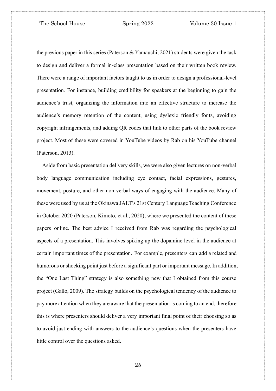the previous paper in this series (Paterson & Yamauchi, 2021) students were given the task to design and deliver a formal in-class presentation based on their written book review. There were a range of important factors taught to us in order to design a professional-level presentation. For instance, building credibility for speakers at the beginning to gain the audience's trust, organizing the information into an effective structure to increase the audience's memory retention of the content, using dyslexic friendly fonts, avoiding copyright infringements, and adding QR codes that link to other parts of the book review project. Most of these were covered in YouTube videos by Rab on his YouTube channel (Paterson, 2013).

Aside from basic presentation delivery skills, we were also given lectures on non-verbal body language communication including eye contact, facial expressions, gestures, movement, posture, and other non-verbal ways of engaging with the audience. Many of these were used by us at the Okinawa JALT's 21st Century Language Teaching Conference in October 2020 (Paterson, Kimoto, et al., 2020), where we presented the content of these papers online. The best advice I received from Rab was regarding the psychological aspects of a presentation. This involves spiking up the dopamine level in the audience at certain important times of the presentation. For example, presenters can add a related and humorous or shocking point just before a significant part or important message. In addition, the "One Last Thing" strategy is also something new that I obtained from this course project (Gallo, 2009). The strategy builds on the psychological tendency of the audience to pay more attention when they are aware that the presentation is coming to an end, therefore this is where presenters should deliver a very important final point of their choosing so as to avoid just ending with answers to the audience's questions when the presenters have little control over the questions asked.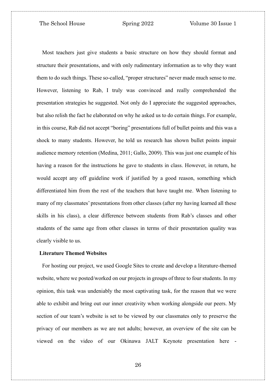Most teachers just give students a basic structure on how they should format and structure their presentations, and with only rudimentary information as to why they want them to do such things. These so-called, "proper structures" never made much sense to me. However, listening to Rab, I truly was convinced and really comprehended the presentation strategies he suggested. Not only do I appreciate the suggested approaches, but also relish the fact he elaborated on why he asked us to do certain things. For example, in this course, Rab did not accept "boring" presentations full of bullet points and this was a shock to many students. However, he told us research has shown bullet points impair audience memory retention (Medina, 2011; Gallo, 2009). This was just one example of his having a reason for the instructions he gave to students in class. However, in return, he would accept any off guideline work if justified by a good reason, something which differentiated him from the rest of the teachers that have taught me. When listening to many of my classmates' presentations from other classes (after my having learned all these skills in his class), a clear difference between students from Rab's classes and other students of the same age from other classes in terms of their presentation quality was clearly visible to us.

#### **Literature Themed Websites**

For hosting our project, we used Google Sites to create and develop a literature-themed website, where we posted/worked on our projects in groups of three to four students. In my opinion, this task was undeniably the most captivating task, for the reason that we were able to exhibit and bring out our inner creativity when working alongside our peers. My section of our team's website is set to be viewed by our classmates only to preserve the privacy of our members as we are not adults; however, an overview of the site can be viewed on the video of our Okinawa JALT Keynote presentation here [-](https://www.youtube.com/watch?v=2P_0el2GjDw&t=1662s)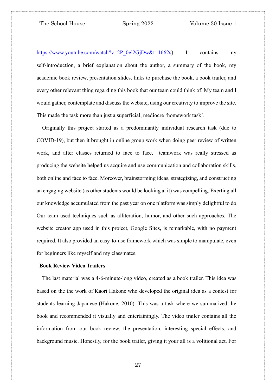[https://www.youtube.com/watch?v=2P\\_0el2GjDw&t=1662s\)](https://www.youtube.com/watch?v=2P_0el2GjDw&t=1662s). It contains my self-introduction, a brief explanation about the author, a summary of the book, my academic book review, presentation slides, links to purchase the book, a book trailer, and every other relevant thing regarding this book that our team could think of. My team and I would gather, contemplate and discuss the website, using our creativity to improve the site. This made the task more than just a superficial, mediocre 'homework task'.

Originally this project started as a predominantly individual research task (due to COVID-19), but then it brought in online group work when doing peer review of written work, and after classes returned to face to face, teamwork was really stressed as producing the website helped us acquire and use communication and collaboration skills, both online and face to face. Moreover, brainstorming ideas, strategizing, and constructing an engaging website (as other students would be looking at it) was compelling. Exerting all our knowledge accumulated from the past year on one platform was simply delightful to do. Our team used techniques such as alliteration, humor, and other such approaches. The website creator app used in this project, Google Sites, is remarkable, with no payment required. It also provided an easy-to-use framework which was simple to manipulate, even for beginners like myself and my classmates.

#### **Book Review Video Trailers**

The last material was a 4-6-minute-long video, created as a book trailer. This idea was based on the the work of Kaori Hakone who developed the original idea as a contest for students learning Japanese (Hakone, 2010). This was a task where we summarized the book and recommended it visually and entertainingly. The video trailer contains all the information from our book review, the presentation, interesting special effects, and background music. Honestly, for the book trailer, giving it your all is a volitional act. For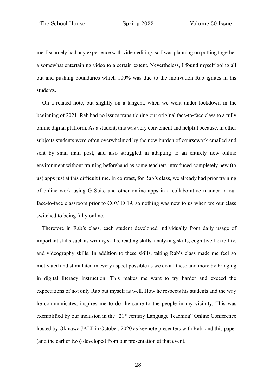me, I scarcely had any experience with video editing, so I was planning on putting together a somewhat entertaining video to a certain extent. Nevertheless, I found myself going all out and pushing boundaries which 100% was due to the motivation Rab ignites in his students.

On a related note, but slightly on a tangent, when we went under lockdown in the beginning of 2021, Rab had no issues transitioning our original face-to-face class to a fully online digital platform. As a student, this was very convenient and helpful because, in other subjects students were often overwhelmed by the new burden of coursework emailed and sent by snail mail post, and also struggled in adapting to an entirely new online environment without training beforehand as some teachers introduced completely new (to us) apps just at this difficult time. In contrast, for Rab's class, we already had prior training of online work using G Suite and other online apps in a collaborative manner in our face-to-face classroom prior to COVID 19, so nothing was new to us when we our class switched to being fully online.

Therefore in Rab's class, each student developed individually from daily usage of important skills such as writing skills, reading skills, analyzing skills, cognitive flexibility, and videography skills. In addition to these skills, taking Rab's class made me feel so motivated and stimulated in every aspect possible as we do all these and more by bringing in digital literacy instruction. This makes me want to try harder and exceed the expectations of not only Rab but myself as well. How he respects his students and the way he communicates, inspires me to do the same to the people in my vicinity. This was exemplified by our inclusion in the " $21<sup>st</sup>$  century Language Teaching" Online Conference hosted by Okinawa JALT in October, 2020 as keynote presenters with Rab, and this paper (and the earlier two) developed from our presentation at that event.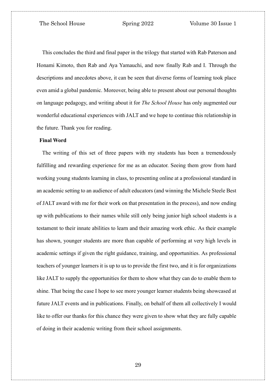This concludes the third and final paper in the trilogy that started with Rab Paterson and Honami Kimoto, then Rab and Aya Yamauchi, and now finally Rab and I. Through the descriptions and anecdotes above, it can be seen that diverse forms of learning took place even amid a global pandemic. Moreover, being able to present about our personal thoughts on language pedagogy, and writing about it for *The School House* has only augmented our wonderful educational experiences with JALT and we hope to continue this relationship in the future. Thank you for reading.

#### **Final Word**

The writing of this set of three papers with my students has been a tremendously fulfilling and rewarding experience for me as an educator. Seeing them grow from hard working young students learning in class, to presenting online at a professional standard in an academic setting to an audience of adult educators (and winning the Michele Steele Best of JALT award with me for their work on that presentation in the process), and now ending up with publications to their names while still only being junior high school students is a testament to their innate abilities to learn and their amazing work ethic. As their example has shown, younger students are more than capable of performing at very high levels in academic settings if given the right guidance, training, and opportunities. As professional teachers of younger learners it is up to us to provide the first two, and it is for organizations like JALT to supply the opportunities for them to show what they can do to enable them to shine. That being the case I hope to see more younger learner students being showcased at future JALT events and in publications. Finally, on behalf of them all collectively I would like to offer our thanks for this chance they were given to show what they are fully capable of doing in their academic writing from their school assignments.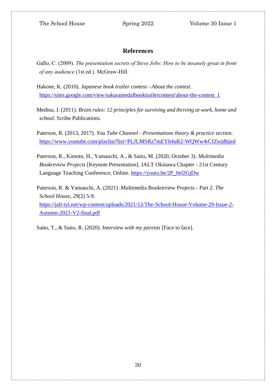## **References**

- Gallo, C. (2009). *The presentation secrets of Steve Jobs: How to be insanely great in front of any audience* (1st ed.). McGraw-Hill.
- Hakone, K. (2010). *Japanese book trailer contest—About the contest.*  [https://sites.google.com/view/sakuramedalbooktrailercontest/about-the-contest\\_1](https://sites.google.com/view/sakuramedalbooktrailercontest/about-the-contest_1)

Medina, J. (2011). *Brain rules: 12 principles for surviving and thriving at work, home and school*. Scribe Publications.

Paterson, R. (2013, 2017). *You Tube Channel—Presentations theory & practice section*. [https://www.youtube.com/playlist?list=PLJLMSRz7mEYh4uR2-WQWw4rCfZwjdhjmI](https://www.youtube.com/playlist?list=PLJLMSRz7mEYh4uR2-WQWw4rCfZwjdhj)

Paterson, R., Kimoto, H., Yamauchi, A., & Saito, M. (2020, October 3). *Multimedia Bookreview Projects* [Keynote Presentation]. JALT Okinawa Chapter - 21st Century Language Teaching Conference, Online. [https://youtu.be/2P\\_0el2GjDw](https://youtu.be/2P_0el2GjDw)

Paterson, R. & Yamauchi, A. (2021) *.*Multimedia Bookreview Projects - Part 2. *The School House*, *29*(2) 5-9. [https://jalt-tyl.net/wp-content/uploads/2021/12/The-School-House-Volume-29-Issue-2-](https://jalt-tyl.net/wp-content/uploads/2021/12/The-School-House-Volume-29-Issue-2-Autumn-2021-V2-final.pdf) [Autumn-2021-V2-final.pdf](https://jalt-tyl.net/wp-content/uploads/2021/12/The-School-House-Volume-29-Issue-2-Autumn-2021-V2-final.pdf)

Saito, T., & Saito, R. (2020). *Interview with my parents* [Face to face].